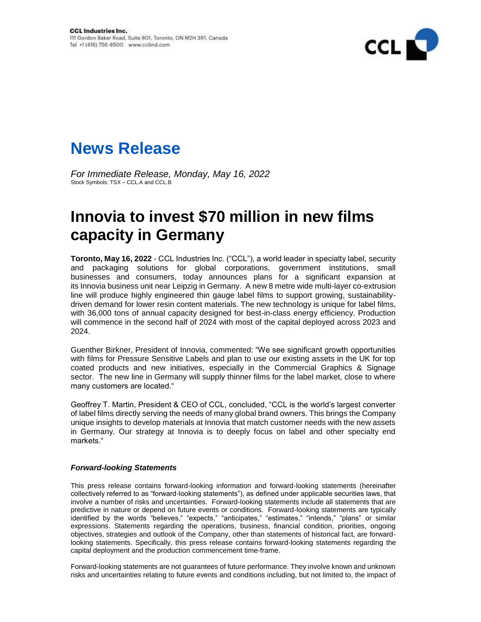



*For Immediate Release, Monday, May 16, 2022* Stock Symbols: TSX – CCL.A and CCL.B

## **Innovia to invest \$70 million in new films capacity in Germany**

**Toronto, May 16, 2022** - CCL Industries Inc. ("CCL"), a world leader in specialty label, security and packaging solutions for global corporations, government institutions, small businesses and consumers, today announces plans for a significant expansion at its Innovia business unit near Leipzig in Germany. A new 8 metre wide multi-layer co-extrusion line will produce highly engineered thin gauge label films to support growing, sustainabilitydriven demand for lower resin content materials. The new technology is unique for label films, with 36,000 tons of annual capacity designed for best-in-class energy efficiency. Production will commence in the second half of 2024 with most of the capital deployed across 2023 and 2024.

Guenther Birkner, President of Innovia, commented: "We see significant growth opportunities with films for Pressure Sensitive Labels and plan to use our existing assets in the UK for top coated products and new initiatives, especially in the Commercial Graphics & Signage sector. The new line in Germany will supply thinner films for the label market, close to where many customers are located."

Geoffrey T. Martin, President & CEO of CCL, concluded, "CCL is the world's largest converter of label films directly serving the needs of many global brand owners. This brings the Company unique insights to develop materials at Innovia that match customer needs with the new assets in Germany. Our strategy at Innovia is to deeply focus on label and other specialty end markets."

## *Forward-looking Statements*

This press release contains forward-looking information and forward-looking statements (hereinafter collectively referred to as "forward-looking statements"), as defined under applicable securities laws, that involve a number of risks and uncertainties. Forward-looking statements include all statements that are predictive in nature or depend on future events or conditions. Forward-looking statements are typically identified by the words "believes," "expects," "anticipates," "estimates," "intends," "plans" or similar expressions. Statements regarding the operations, business, financial condition, priorities, ongoing objectives, strategies and outlook of the Company, other than statements of historical fact, are forwardlooking statements. Specifically, this press release contains forward-looking statements regarding the capital deployment and the production commencement time-frame.

Forward-looking statements are not guarantees of future performance. They involve known and unknown risks and uncertainties relating to future events and conditions including, but not limited to, the impact of